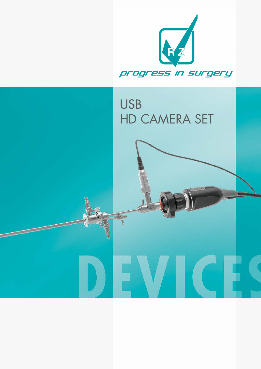

# USB HD CAMERA SET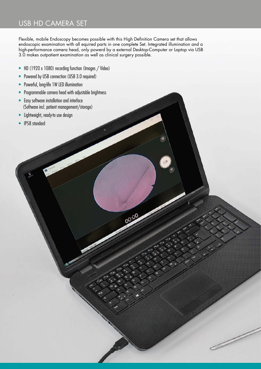## USB HD CAMERA SET

Flexible, mobile Endoscopy becomes possible with this High Definition Camera set that allows endoscopic examination with all equired parts in one complete Set. Integrated illumination and a high-performance camera head, only powerd by a external Desktop-Computer or Laptop via USB 3.0 makes outpatient examination as well as clinical surgery possible.

00:00

- HD (1920 x 1080) recording function (Images / Video)
- Powered by USB connection (USB 3.0 required)
- Powerful, long-life 1W LED illumination
- Programmable camera head with adjustable brightness

- Easy software installation and interface (Software incl. patient management/storage)
- Lightweight, ready-to use design
- IP58 standard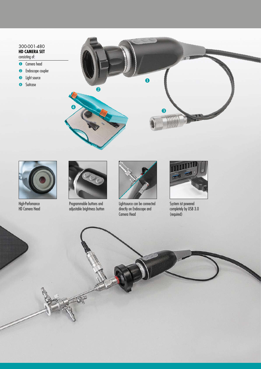### 300-001-480 **HD CAMERA SET**

- consisting of:
- **O** Camera head
- <sup>2</sup> Endoscope coupler
- **B** Light source
- 





High-Perfomance HD Camera Head



Programmable buttons and adjustable brightness button



Lightsource can be connected directly on Endoscope and Camera Head



System ist powered completely by USB 3.0 (required)